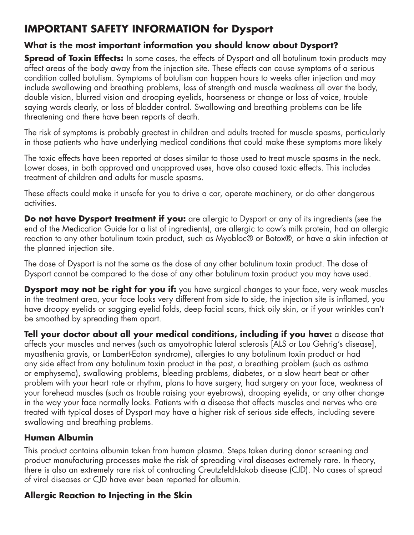# **IMPORTANT SAFETY INFORMATION for Dysport**

### **What is the most important information you should know about Dysport?**

**Spread of Toxin Effects:** In some cases, the effects of Dysport and all botulinum toxin products may affect areas of the body away from the injection site. These effects can cause symptoms of a serious condition called botulism. Symptoms of botulism can happen hours to weeks after injection and may include swallowing and breathing problems, loss of strength and muscle weakness all over the body, double vision, blurred vision and drooping eyelids, hoarseness or change or loss of voice, trouble saying words clearly, or loss of bladder control. Swallowing and breathing problems can be life threatening and there have been reports of death.

The risk of symptoms is probably greatest in children and adults treated for muscle spasms, particularly in those patients who have underlying medical conditions that could make these symptoms more likely

The toxic effects have been reported at doses similar to those used to treat muscle spasms in the neck. Lower doses, in both approved and unapproved uses, have also caused toxic effects. This includes treatment of children and adults for muscle spasms.

These effects could make it unsafe for you to drive a car, operate machinery, or do other dangerous activities.

**Do not have Dysport treatment if you:** are allergic to Dysport or any of its ingredients (see the end of the Medication Guide for a list of ingredients), are allergic to cow's milk protein, had an allergic reaction to any other botulinum toxin product, such as Myobloc® or Botox®, or have a skin infection at the planned injection site.

The dose of Dysport is not the same as the dose of any other botulinum toxin product. The dose of Dysport cannot be compared to the dose of any other botulinum toxin product you may have used.

**Dysport may not be right for you if:** you have surgical changes to your face, very weak muscles in the treatment area, your face looks very different from side to side, the injection site is inflamed, you have droopy eyelids or sagging eyelid folds, deep facial scars, thick oily skin, or if your wrinkles can't be smoothed by spreading them apart.

**Tell your doctor about all your medical conditions, including if you have:** a disease that affects your muscles and nerves (such as amyotrophic lateral sclerosis [ALS or Lou Gehrig's disease], myasthenia gravis, or Lambert-Eaton syndrome), allergies to any botulinum toxin product or had any side effect from any botulinum toxin product in the past, a breathing problem (such as asthma or emphysema), swallowing problems, bleeding problems, diabetes, or a slow heart beat or other problem with your heart rate or rhythm, plans to have surgery, had surgery on your face, weakness of your forehead muscles (such as trouble raising your eyebrows), drooping eyelids, or any other change in the way your face normally looks. Patients with a disease that affects muscles and nerves who are treated with typical doses of Dysport may have a higher risk of serious side effects, including severe swallowing and breathing problems.

## **Human Albumin**

This product contains albumin taken from human plasma. Steps taken during donor screening and product manufacturing processes make the risk of spreading viral diseases extremely rare. In theory, there is also an extremely rare risk of contracting Creutzfeldt-Jakob disease (CJD). No cases of spread of viral diseases or CJD have ever been reported for albumin.

## **Allergic Reaction to Injecting in the Skin**